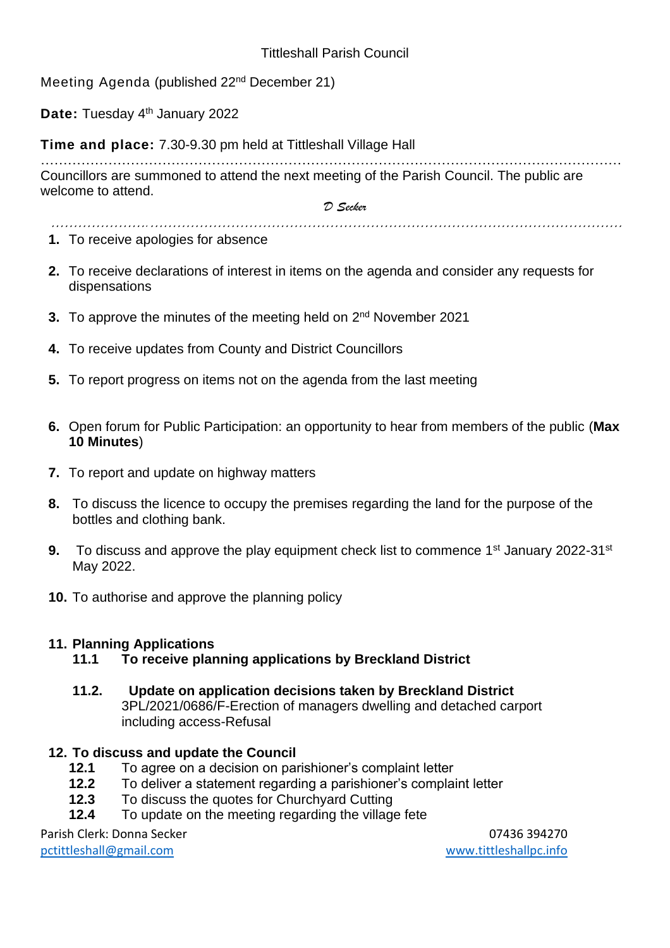Meeting Agenda (published 22<sup>nd</sup> December 21)

**Date:** Tuesday 4<sup>th</sup> January 2022

**Time and place:** 7.30-9.30 pm held at Tittleshall Village Hall

………………………………………………………………………………………………………………… Councillors are summoned to attend the next meeting of the Parish Council. The public are welcome to attend.

*………………….……………………………………………………………………………………………* 

*D Secker*

- **1.** To receive apologies for absence
- **2.** To receive declarations of interest in items on the agenda and consider any requests for dispensations
- **3.** To approve the minutes of the meeting held on 2<sup>nd</sup> November 2021
- **4.** To receive updates from County and District Councillors
- **5.** To report progress on items not on the agenda from the last meeting
- **6.** Open forum for Public Participation: an opportunity to hear from members of the public (**Max 10 Minutes**)
- **7.** To report and update on highway matters
- **8.** To discuss the licence to occupy the premises regarding the land for the purpose of the bottles and clothing bank.
- **9.** To discuss and approve the play equipment check list to commence 1<sup>st</sup> January 2022-31<sup>st</sup> May 2022.
- **10.** To authorise and approve the planning policy

## **11. Planning Applications**

- **11.1 To receive planning applications by Breckland District**
- **11.2. Update on application decisions taken by Breckland District** 3PL/2021/0686/F-Erection of managers dwelling and detached carport including access-Refusal

## **12. To discuss and update the Council**

- **12.1** To agree on a decision on parishioner's complaint letter
- **12.2** To deliver a statement regarding a parishioner's complaint letter
- **12.3** To discuss the quotes for Churchyard Cutting
- **12.4** To update on the meeting regarding the village fete

Parish Clerk: Donna Secker 07436 394270 [pctittleshall@gmail.com](mailto:pctittleshall@gmail.com) [www.tittleshallpc.info](http://www.tittleshallpc.info/)